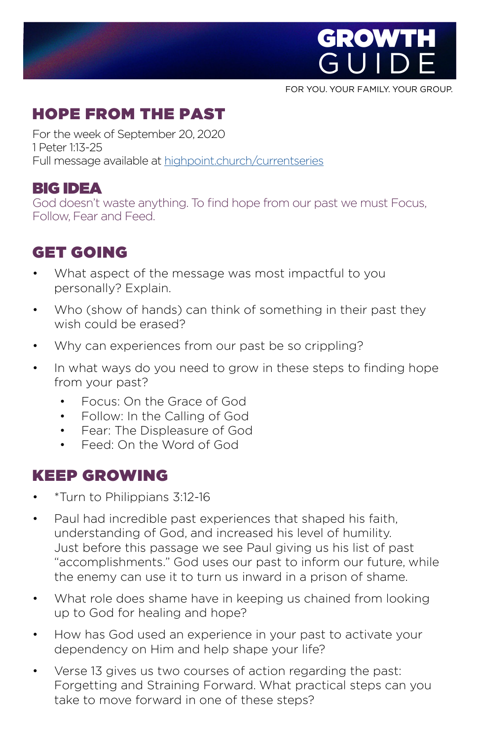

FOR YOU. YOUR FAMILY. YOUR GROUP.

## HOPE FROM THE PAST

For the week of September 20, 2020 1 Peter 1:13-25 Full message available at [highpoint.church/currentseries](http://highpoint.church/currentseries)

#### BIG IDEA

God doesn't waste anything. To find hope from our past we must Focus, Follow, Fear and Feed.

## GET GOIN[G](https://www.highpoint.church/reconciliation/)

- What aspect of the message was most impactful to you personally? Explain.
- Who (show of hands) can think of something in their past they wish could be erased?
- Why can experiences from our past be so crippling?
- In what ways do you need to grow in these steps to finding hope from your past?
	- Focus: On the Grace of God
	- Follow: In the Calling of God
	- Fear: The Displeasure of God
	- Feed: On the Word of God

#### KEEP GROWING

- \*Turn to Philippians 3:12-16
- Paul had incredible past experiences that shaped his faith, understanding of God, and increased his level of humility. Just before this passage we see Paul giving us his list of past "accomplishments." God uses our past to inform our future, while the enemy can use it to turn us inward in a prison of shame.
- What role does shame have in keeping us chained from looking up to God for healing and hope?
- How has God used an experience in your past to activate your dependency on Him and help shape your life?
- Verse 13 gives us two courses of action regarding the past: Forgetting and Straining Forward. What practical steps can you take to move forward in one of these steps?